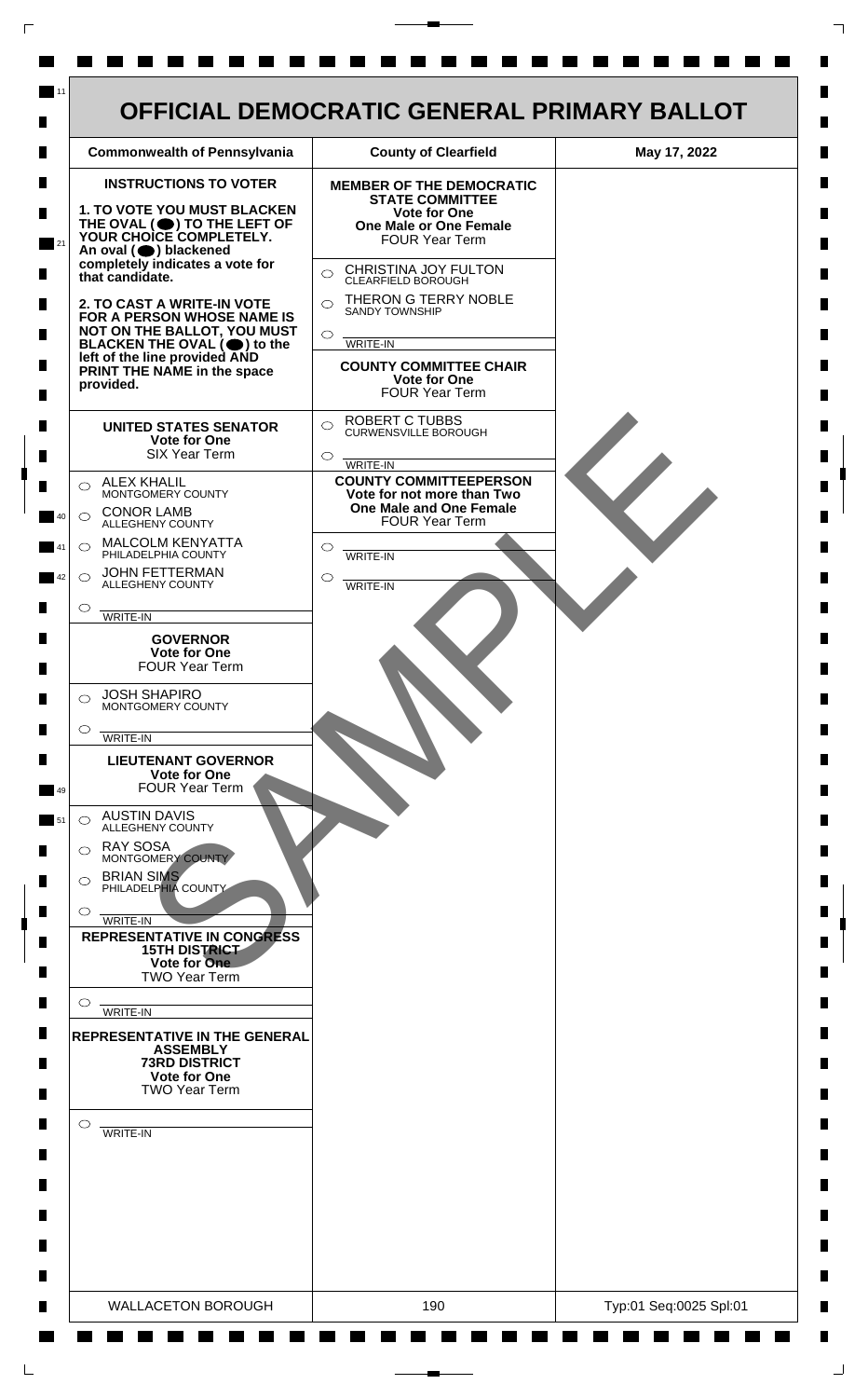

 $\mathsf{L}$